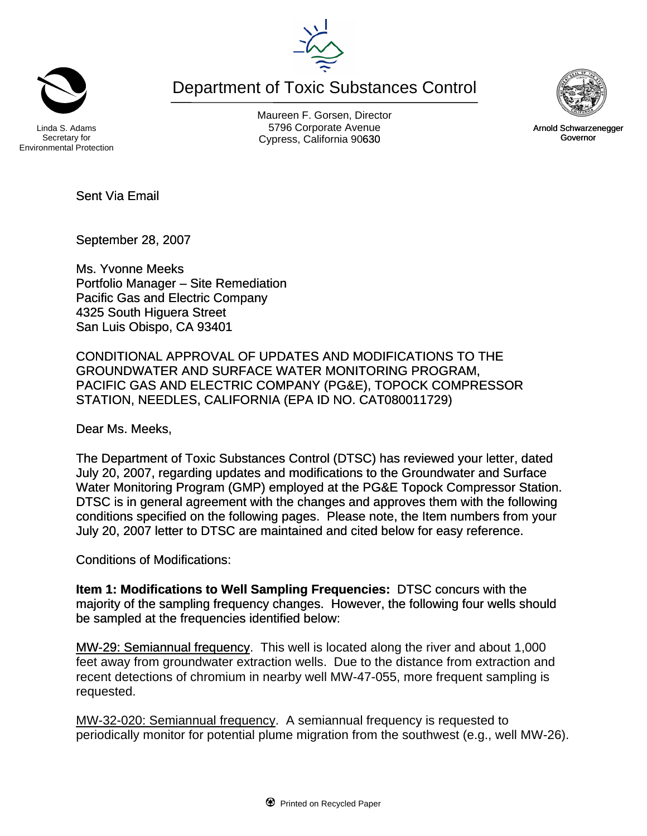Department of Toxic Substances Control

Secretary for Environmental Protection

Maureen F. Gorsen, Director Linda S. Adams **Example 20** Corporate Avenue Christian Avenue 5796 Corporate Avenue Cypress, California 90630 **Canadian Cypress**, California 90630

Sent Via Email

September 28, 2007

Ms. Yvonne Meeks Portfolio Manager – Site Remediation Pacific Gas and Electric Company 4325 South Higuera Street San Luis Obispo, CA 93401

CONDITIONAL APPROVAL OF UPDATES AND MODIFICATIONS TO THE GROUNDWATER AND SURFACE WATER MONITORING PROGRAM, PACIFIC GAS AND ELECTRIC COMPANY (PG&E), TOPOCK COMPRESSOR STATION, NEEDLES, CALIFORNIA (EPA ID NO. CAT080011729)

Dear Ms. Meeks,

The Department of Toxic Substances Control (DTSC) has reviewed your letter, dated July 20, 2007, regarding updates and modifications to the Groundwater and Surface Water Monitoring Program (GMP) employed at the PG&E Topock Compressor Station. DTSC is in general agreement with the changes and approves them with the following conditions specified on the following pages. Please note, the Item numbers from your July 20, 2007 letter to DTSC are maintained and cited below for easy reference.

Conditions of Modifications:

**Item 1: Modifications to Well Sampling Frequencies:** DTSC concurs with the majority of the sampling frequency changes. However, the following four wells should be sampled at the frequencies identified below:

MW-29: Semiannual frequency. This well is located along the river and about 1,000 feet away from groundwater extraction wells. Due to the distance from extraction and recent detections of chromium in nearby well MW-47-055, more frequent sampling is requested.

MW-32-020: Semiannual frequency. A semiannual frequency is requested to periodically monitor for potential plume migration from the southwest (e.g., well MW-26).



Arnold Schwarzenegger Governor



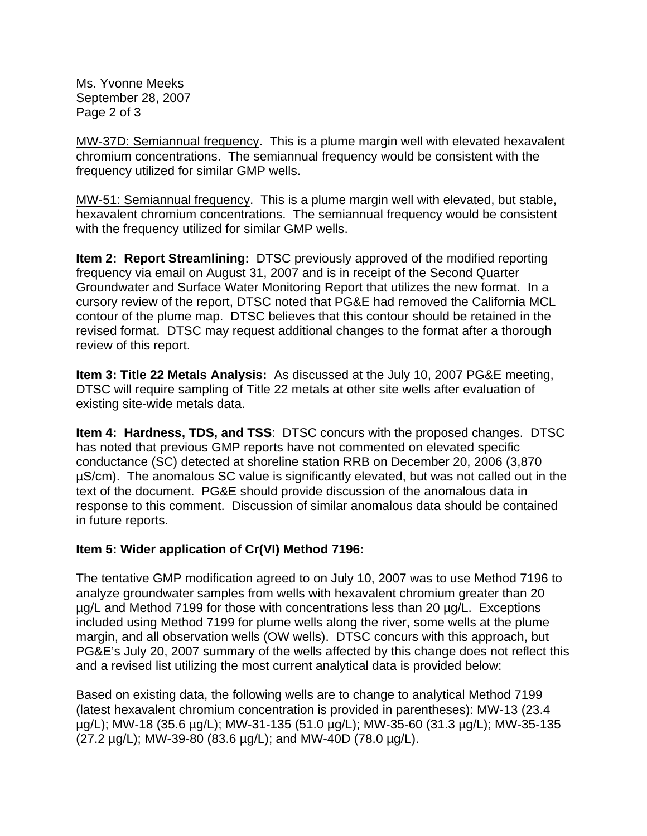Ms. Yvonne Meeks September 28, 2007 Page 2 of 3

MW-37D: Semiannual frequency. This is a plume margin well with elevated hexavalent chromium concentrations. The semiannual frequency would be consistent with the frequency utilized for similar GMP wells.

MW-51: Semiannual frequency. This is a plume margin well with elevated, but stable, hexavalent chromium concentrations. The semiannual frequency would be consistent with the frequency utilized for similar GMP wells.

**Item 2: Report Streamlining:** DTSC previously approved of the modified reporting frequency via email on August 31, 2007 and is in receipt of the Second Quarter Groundwater and Surface Water Monitoring Report that utilizes the new format. In a cursory review of the report, DTSC noted that PG&E had removed the California MCL contour of the plume map. DTSC believes that this contour should be retained in the revised format. DTSC may request additional changes to the format after a thorough review of this report.

**Item 3: Title 22 Metals Analysis:** As discussed at the July 10, 2007 PG&E meeting, DTSC will require sampling of Title 22 metals at other site wells after evaluation of existing site-wide metals data.

**Item 4: Hardness, TDS, and TSS**: DTSC concurs with the proposed changes. DTSC has noted that previous GMP reports have not commented on elevated specific conductance (SC) detected at shoreline station RRB on December 20, 2006 (3,870 µS/cm). The anomalous SC value is significantly elevated, but was not called out in the text of the document. PG&E should provide discussion of the anomalous data in response to this comment. Discussion of similar anomalous data should be contained in future reports.

## **Item 5: Wider application of Cr(VI) Method 7196:**

The tentative GMP modification agreed to on July 10, 2007 was to use Method 7196 to analyze groundwater samples from wells with hexavalent chromium greater than 20 µg/L and Method 7199 for those with concentrations less than 20 µg/L. Exceptions included using Method 7199 for plume wells along the river, some wells at the plume margin, and all observation wells (OW wells). DTSC concurs with this approach, but PG&E's July 20, 2007 summary of the wells affected by this change does not reflect this and a revised list utilizing the most current analytical data is provided below:

Based on existing data, the following wells are to change to analytical Method 7199 (latest hexavalent chromium concentration is provided in parentheses): MW-13 (23.4 µg/L); MW-18 (35.6 µg/L); MW-31-135 (51.0 µg/L); MW-35-60 (31.3 µg/L); MW-35-135 (27.2 µg/L); MW-39-80 (83.6 µg/L); and MW-40D (78.0 µg/L).